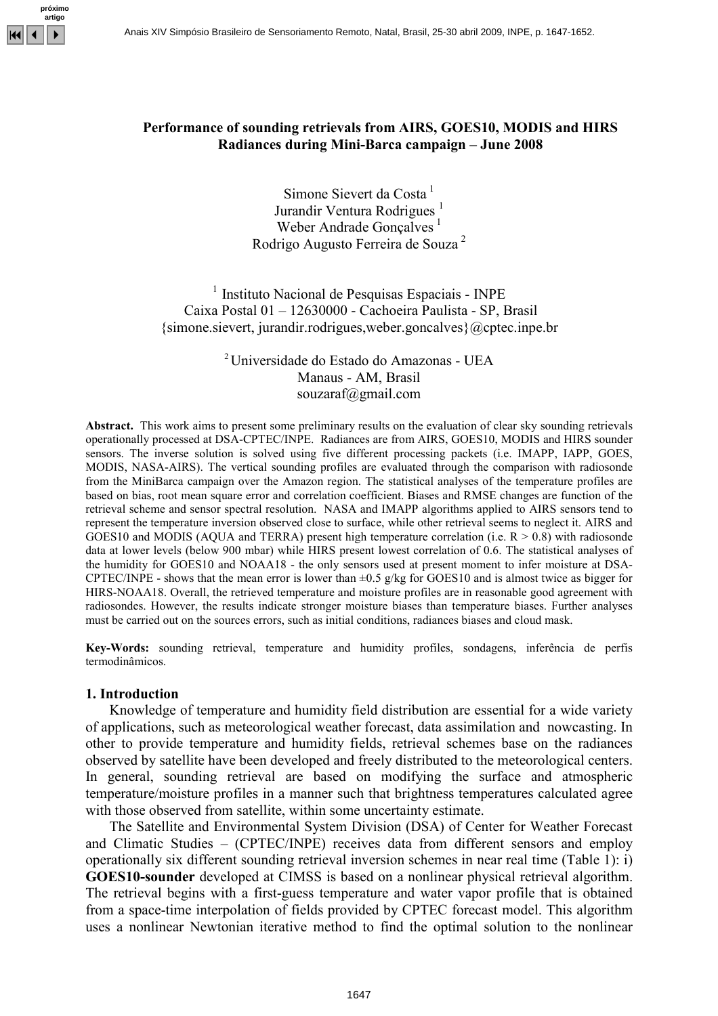

## Performance of sounding retrievals from AIRS, GOES10, MODIS and HIRS Radiances during Mini-Barca campaign – June 2008

Simone Sievert da Costa<sup>1</sup> Jurandir Ventura Rodrigues<sup>1</sup> Weber Andrade Gonçalves<sup>1</sup> Rodrigo Augusto Ferreira de Souza <sup>2</sup>

 $<sup>1</sup>$  Instituto Nacional de Pesquisas Espaciais - INPE</sup> Caixa Postal 01 – 12630000 - Cachoeira Paulista - SP, Brasil {simone.sievert, jurandir.rodrigues,weber.goncalves}@cptec.inpe.br

> <sup>2</sup>Universidade do Estado do Amazonas - UEA Manaus - AM, Brasil souzaraf@gmail.com

Abstract. This work aims to present some preliminary results on the evaluation of clear sky sounding retrievals operationally processed at DSA-CPTEC/INPE. Radiances are from AIRS, GOES10, MODIS and HIRS sounder sensors. The inverse solution is solved using five different processing packets (i.e. IMAPP, IAPP, GOES, MODIS, NASA-AIRS). The vertical sounding profiles are evaluated through the comparison with radiosonde from the MiniBarca campaign over the Amazon region. The statistical analyses of the temperature profiles are based on bias, root mean square error and correlation coefficient. Biases and RMSE changes are function of the retrieval scheme and sensor spectral resolution. NASA and IMAPP algorithms applied to AIRS sensors tend to represent the temperature inversion observed close to surface, while other retrieval seems to neglect it. AIRS and GOES10 and MODIS (AQUA and TERRA) present high temperature correlation (i.e.  $R > 0.8$ ) with radiosonde data at lower levels (below 900 mbar) while HIRS present lowest correlation of 0.6. The statistical analyses of the humidity for GOES10 and NOAA18 - the only sensors used at present moment to infer moisture at DSA-CPTEC/INPE - shows that the mean error is lower than  $\pm 0.5$  g/kg for GOES10 and is almost twice as bigger for HIRS-NOAA18. Overall, the retrieved temperature and moisture profiles are in reasonable good agreement with radiosondes. However, the results indicate stronger moisture biases than temperature biases. Further analyses must be carried out on the sources errors, such as initial conditions, radiances biases and cloud mask.

Key-Words: sounding retrieval, temperature and humidity profiles, sondagens, inferência de perfis termodinâmicos.

#### 1. Introduction

Knowledge of temperature and humidity field distribution are essential for a wide variety of applications, such as meteorological weather forecast, data assimilation and nowcasting. In other to provide temperature and humidity fields, retrieval schemes base on the radiances observed by satellite have been developed and freely distributed to the meteorological centers. In general, sounding retrieval are based on modifying the surface and atmospheric temperature/moisture profiles in a manner such that brightness temperatures calculated agree with those observed from satellite, within some uncertainty estimate.

The Satellite and Environmental System Division (DSA) of Center for Weather Forecast and Climatic Studies – (CPTEC/INPE) receives data from different sensors and employ operationally six different sounding retrieval inversion schemes in near real time (Table 1): i) GOES10-sounder developed at CIMSS is based on a nonlinear physical retrieval algorithm. The retrieval begins with a first-guess temperature and water vapor profile that is obtained from a space-time interpolation of fields provided by CPTEC forecast model. This algorithm uses a nonlinear Newtonian iterative method to find the optimal solution to the nonlinear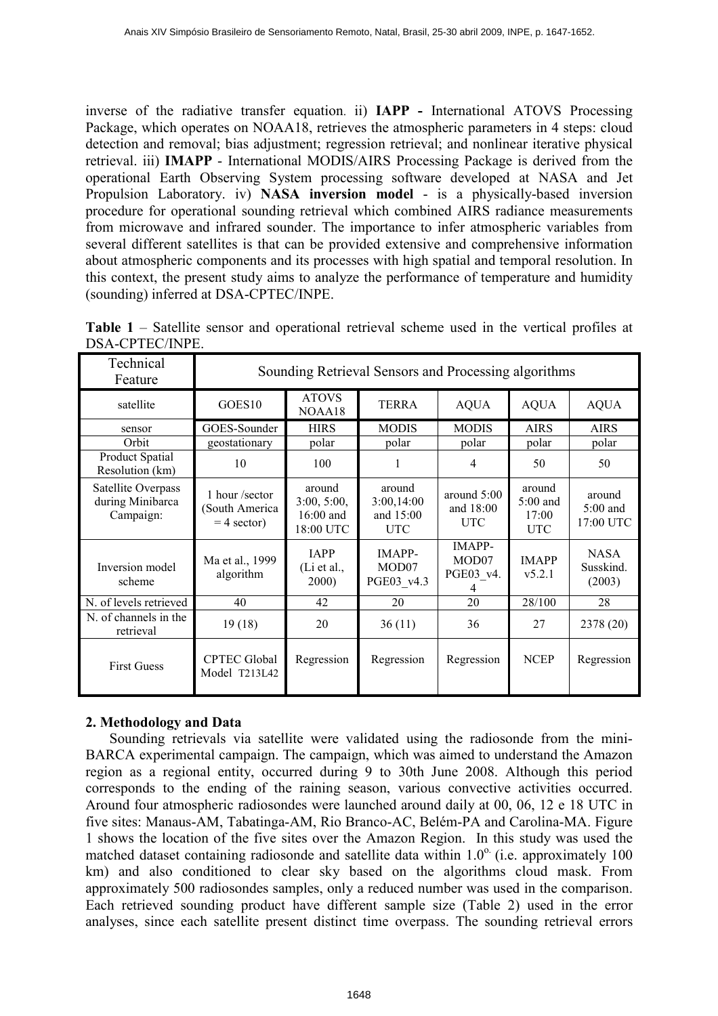inverse of the radiative transfer equation. ii) IAPP - International ATOVS Processing Package, which operates on NOAA18, retrieves the atmospheric parameters in 4 steps: cloud detection and removal; bias adjustment; regression retrieval; and nonlinear iterative physical retrieval. iii) IMAPP - International MODIS/AIRS Processing Package is derived from the operational Earth Observing System processing software developed at NASA and Jet Propulsion Laboratory. iv) NASA inversion model - is a physically-based inversion procedure for operational sounding retrieval which combined AIRS radiance measurements from microwave and infrared sounder. The importance to infer atmospheric variables from several different satellites is that can be provided extensive and comprehensive information about atmospheric components and its processes with high spatial and temporal resolution. In this context, the present study aims to analyze the performance of temperature and humidity (sounding) inferred at DSA-CPTEC/INPE.

| Technical<br>Feature                                | Sounding Retrieval Sensors and Processing algorithms |                                                 |                                                 |                                            |                                             |                                    |
|-----------------------------------------------------|------------------------------------------------------|-------------------------------------------------|-------------------------------------------------|--------------------------------------------|---------------------------------------------|------------------------------------|
| satellite                                           | GOES <sub>10</sub>                                   | <b>ATOVS</b><br><b>TERRA</b><br>NOAA18          |                                                 | <b>AQUA</b>                                | <b>AQUA</b>                                 | <b>AQUA</b>                        |
| sensor                                              | GOES-Sounder                                         | <b>HIRS</b>                                     | <b>MODIS</b>                                    | <b>MODIS</b>                               | <b>AIRS</b>                                 | <b>AIRS</b>                        |
| Orbit                                               | geostationary                                        | polar                                           | polar                                           | polar                                      | polar                                       | polar                              |
| Product Spatial<br>Resolution (km)                  | 10                                                   | 100                                             | 1                                               | 4                                          | 50                                          | 50                                 |
| Satellite Overpass<br>during Minibarca<br>Campaign: | 1 hour/sector<br>South America<br>$=$ 4 sector)      | around<br>3:00, 5:00,<br>16:00 and<br>18:00 UTC | around<br>3:00,14:00<br>and 15:00<br><b>UTC</b> | around $5:00$<br>and $18:00$<br><b>UTC</b> | around<br>$5:00$ and<br>17:00<br><b>UTC</b> | around<br>$5:00$ and<br>17:00 UTC  |
| Inversion model<br>scheme                           | Ma et al., 1999<br>algorithm                         | <b>IAPP</b><br>$(Li$ et al.,<br>2000)           | <b>IMAPP-</b><br>MOD07<br>PGE03 v4.3            | <b>IMAPP-</b><br>MOD07<br>PGE03_v4.<br>4   | <b>IMAPP</b><br>v5.2.1                      | <b>NASA</b><br>Susskind.<br>(2003) |
| N. of levels retrieved                              | 40                                                   | 42                                              | 20                                              | 20                                         | 28/100                                      | 28                                 |
| N. of channels in the<br>retrieval                  | 19(18)                                               | 20                                              | 36(11)                                          | 36                                         | 27                                          | 2378 (20)                          |
| <b>First Guess</b>                                  | <b>CPTEC Global</b><br>Model T213L42                 | Regression                                      | Regression                                      | Regression                                 | <b>NCEP</b>                                 | Regression                         |

| Table 1 – Satellite sensor and operational retrieval scheme used in the vertical profiles at |  |  |  |  |  |  |
|----------------------------------------------------------------------------------------------|--|--|--|--|--|--|
| DSA-CPTEC/INPE.                                                                              |  |  |  |  |  |  |

# 2. Methodology and Data

Sounding retrievals via satellite were validated using the radiosonde from the mini-BARCA experimental campaign. The campaign, which was aimed to understand the Amazon region as a regional entity, occurred during 9 to 30th June 2008. Although this period corresponds to the ending of the raining season, various convective activities occurred. Around four atmospheric radiosondes were launched around daily at 00, 06, 12 e 18 UTC in five sites: Manaus-AM, Tabatinga-AM, Rio Branco-AC, Belém-PA and Carolina-MA. Figure 1 shows the location of the five sites over the Amazon Region. In this study was used the matched dataset containing radiosonde and satellite data within  $1.0^\circ$  (i.e. approximately 100 km) and also conditioned to clear sky based on the algorithms cloud mask. From approximately 500 radiosondes samples, only a reduced number was used in the comparison. Each retrieved sounding product have different sample size (Table 2) used in the error analyses, since each satellite present distinct time overpass. The sounding retrieval errors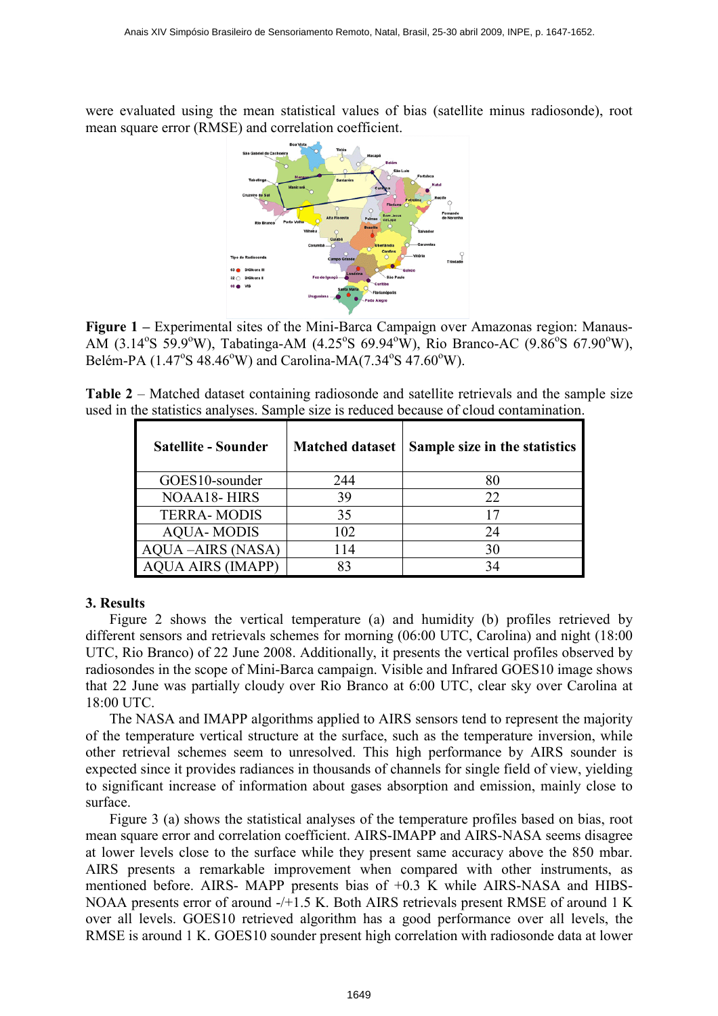were evaluated using the mean statistical values of bias (satellite minus radiosonde), root mean square error (RMSE) and correlation coefficient.



Figure 1 – Experimental sites of the Mini-Barca Campaign over Amazonas region: Manaus-AM (3.14°S 59.9°W), Tabatinga-AM (4.25°S 69.94°W), Rio Branco-AC (9.86°S 67.90°W), Belém-PA (1.47°S 48.46°W) and Carolina-MA(7.34°S 47.60°W).

Table 2 – Matched dataset containing radiosonde and satellite retrievals and the sample size used in the statistics analyses. Sample size is reduced because of cloud contamination.

| <b>Satellite - Sounder</b> | <b>Matched dataset</b> | Sample size in the statistics |
|----------------------------|------------------------|-------------------------------|
| GOES10-sounder             | 244                    | 80                            |
| <b>NOAA18-HIRS</b>         | 39                     | 22                            |
| <b>TERRA-MODIS</b>         | 35                     | 17                            |
| <b>AQUA-MODIS</b>          | 102                    | 24                            |
| <b>AQUA-AIRS (NASA)</b>    | 114                    | 30                            |
| <b>AQUA AIRS (IMAPP)</b>   | 83                     | 34                            |

### 3. Results

Figure 2 shows the vertical temperature (a) and humidity (b) profiles retrieved by different sensors and retrievals schemes for morning (06:00 UTC, Carolina) and night (18:00 UTC, Rio Branco) of 22 June 2008. Additionally, it presents the vertical profiles observed by radiosondes in the scope of Mini-Barca campaign. Visible and Infrared GOES10 image shows that 22 June was partially cloudy over Rio Branco at 6:00 UTC, clear sky over Carolina at 18:00 UTC.

The NASA and IMAPP algorithms applied to AIRS sensors tend to represent the majority of the temperature vertical structure at the surface, such as the temperature inversion, while other retrieval schemes seem to unresolved. This high performance by AIRS sounder is expected since it provides radiances in thousands of channels for single field of view, yielding to significant increase of information about gases absorption and emission, mainly close to surface.

Figure 3 (a) shows the statistical analyses of the temperature profiles based on bias, root mean square error and correlation coefficient. AIRS-IMAPP and AIRS-NASA seems disagree at lower levels close to the surface while they present same accuracy above the 850 mbar. AIRS presents a remarkable improvement when compared with other instruments, as mentioned before. AIRS- MAPP presents bias of +0.3 K while AIRS-NASA and HIBS-NOAA presents error of around -/+1.5 K. Both AIRS retrievals present RMSE of around 1 K over all levels. GOES10 retrieved algorithm has a good performance over all levels, the RMSE is around 1 K. GOES10 sounder present high correlation with radiosonde data at lower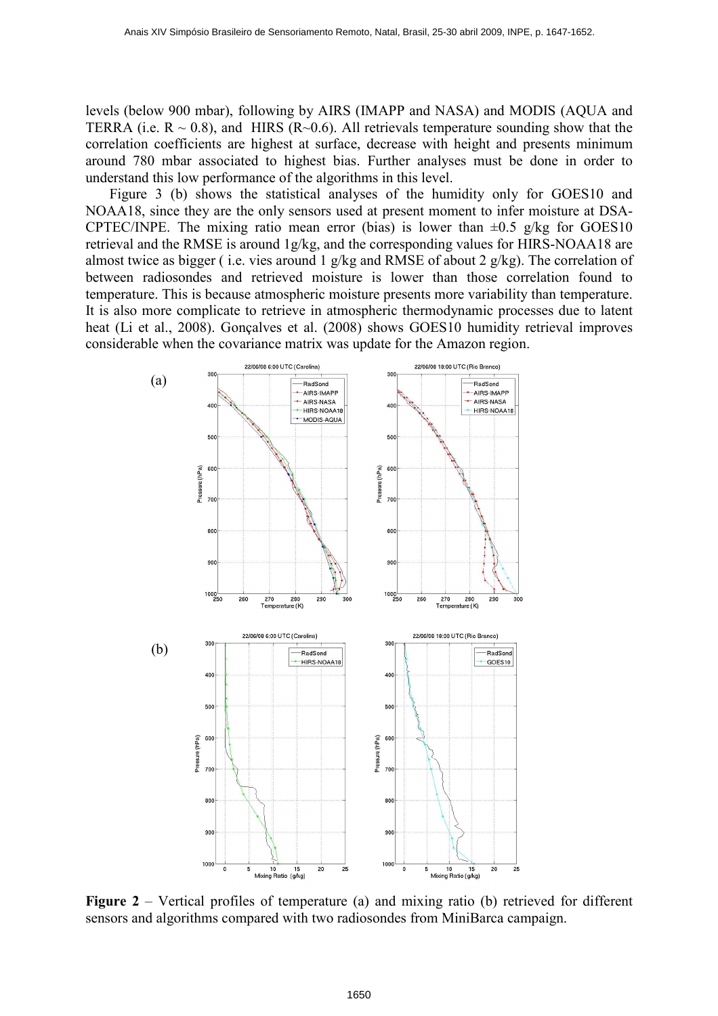levels (below 900 mbar), following by AIRS (IMAPP and NASA) and MODIS (AQUA and TERRA (i.e.  $R \sim 0.8$ ), and HIRS (R $\sim 0.6$ ). All retrievals temperature sounding show that the correlation coefficients are highest at surface, decrease with height and presents minimum around 780 mbar associated to highest bias. Further analyses must be done in order to understand this low performance of the algorithms in this level.

Figure 3 (b) shows the statistical analyses of the humidity only for GOES10 and NOAA18, since they are the only sensors used at present moment to infer moisture at DSA-CPTEC/INPE. The mixing ratio mean error (bias) is lower than  $\pm 0.5$  g/kg for GOES10 retrieval and the RMSE is around 1g/kg, and the corresponding values for HIRS-NOAA18 are almost twice as bigger (i.e. vies around 1 g/kg and RMSE of about 2 g/kg). The correlation of between radiosondes and retrieved moisture is lower than those correlation found to temperature. This is because atmospheric moisture presents more variability than temperature. It is also more complicate to retrieve in atmospheric thermodynamic processes due to latent heat (Li et al., 2008). Gonçalves et al. (2008) shows GOES10 humidity retrieval improves considerable when the covariance matrix was update for the Amazon region.



Figure 2 – Vertical profiles of temperature (a) and mixing ratio (b) retrieved for different sensors and algorithms compared with two radiosondes from MiniBarca campaign.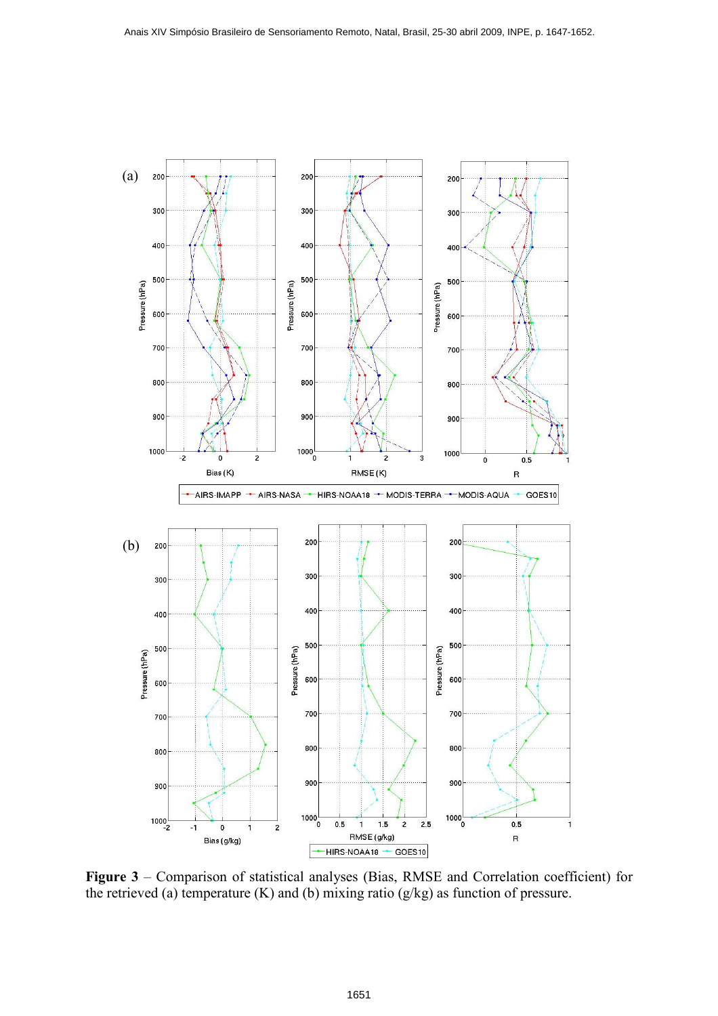

Figure 3 – Comparison of statistical analyses (Bias, RMSE and Correlation coefficient) for the retrieved (a) temperature (K) and (b) mixing ratio (g/kg) as function of pressure.